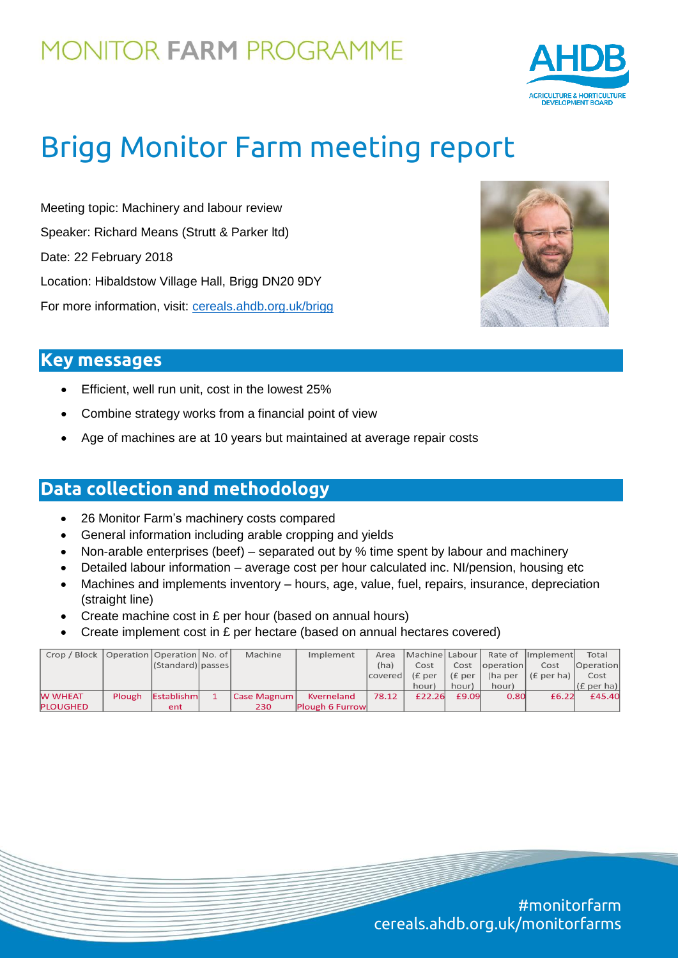## **MONITOR FARM PROGRAMME**



# Brigg Monitor Farm meeting report

Meeting topic: Machinery and labour review Speaker: Richard Means (Strutt & Parker ltd) Date: 22 February 2018 Location: Hibaldstow Village Hall, Brigg DN20 9DY For more information, visit: [cereals.ahdb.org.uk/brigg](https://cereals.ahdb.org.uk/brigg)



## **Key messages**

- Efficient, well run unit, cost in the lowest 25%
- Combine strategy works from a financial point of view
- Age of machines are at 10 years but maintained at average repair costs

### **Data collection and methodology**

- 26 Monitor Farm's machinery costs compared
- General information including arable cropping and yields
- Non-arable enterprises (beef) separated out by % time spent by labour and machinery
- Detailed labour information average cost per hour calculated inc. NI/pension, housing etc
- Machines and implements inventory hours, age, value, fuel, repairs, insurance, depreciation (straight line)
- Create machine cost in £ per hour (based on annual hours)
- Create implement cost in £ per hectare (based on annual hectares covered)

| Crop / Block    | Operation   Operation   No. of |                       | Machine     | Implement       | Area           | Machine   Labour |                     |                   | Rate of  Implement     | Total            |
|-----------------|--------------------------------|-----------------------|-------------|-----------------|----------------|------------------|---------------------|-------------------|------------------------|------------------|
|                 |                                | $ (Standard) $ passes |             |                 | (ha)           | Cost             | Cost                | <i>coperation</i> | Cost                   | <b>Operation</b> |
|                 |                                |                       |             |                 | covered (£ per |                  | (E <sub>per</sub> ) |                   | (ha per $ (E $ per ha) | Cost             |
|                 |                                |                       |             |                 |                | hour)            | hour)               | hour)             |                        | (E per ha)       |
| <b>W WHEAT</b>  | <b>Plough</b>                  | Establishm            | Case Magnum | Kverneland      | 78.12          | £22.26           | £9.09               | 0.80              | £6.22                  | £45.40           |
| <b>PLOUGHED</b> |                                | ent                   | 230         | Plough 6 Furrow |                |                  |                     |                   |                        |                  |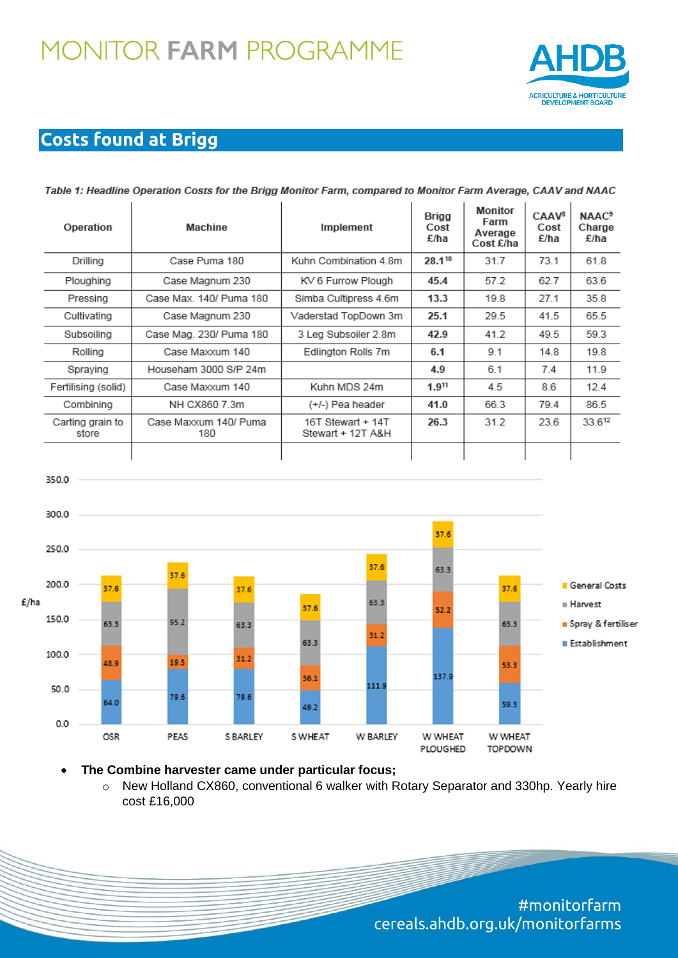## **MONITOR FARM PROGRAMME**



## **Costs found at Brigg**

350.0

| Operation                 | Machine                      | Implement                              | Brigg<br>Cost<br>£/ha | Monitor<br>Farm<br>Average<br>Cost £/ha | CAAV <sup>8</sup><br>Cost<br>£/ha | <b>NAAC<sup>9</sup></b><br>Charge<br>£/ha |
|---------------------------|------------------------------|----------------------------------------|-----------------------|-----------------------------------------|-----------------------------------|-------------------------------------------|
| Drilling                  | Case Puma 180                | Kuhn Combination 4.8m                  | 28.110                | 31.7                                    | 73.1                              | 61.8                                      |
| Ploughing                 | Case Magnum 230              | KV 6 Furrow Plough                     | 45.4                  | 57.2                                    | 62.7                              | 63.6                                      |
| Pressing                  | Case Max, 140/ Puma 180      | Simba Cultipress 4.6m                  | 13.3                  | 19.8                                    | 27.1                              | 35.8                                      |
| Cultivating               | Case Magnum 230              | Vaderstad TopDown 3m                   | 25.1                  | 29.5                                    | 41.5                              | 65.5                                      |
| Subsoiling                | Case Mag. 230/ Puma 180      | 3 Leg Subsoiler 2.8m                   | 42.9                  | 41.2                                    | 49.5                              | 59.3                                      |
| Rolling                   | Case Maxxum 140              | Edlington Rolls 7m                     | 6.1                   | 9.1                                     | 14.8                              | 19.8                                      |
| Spraying                  | Househam 3000 S/P 24m        |                                        | 4.9                   | 6.1                                     | 7.4                               | 11.9                                      |
| Fertilising (solid)       | Case Maxxum 140              | Kuhn MDS 24m                           | 1.911                 | 4.5                                     | 8.6                               | 12.4                                      |
| Combining                 | NH CX860 7.3m                | (+/-) Pea header                       | 41.0                  | 66.3                                    | 79.4                              | 86.5                                      |
| Carting grain to<br>store | Case Maxxum 140/ Puma<br>180 | 16T Stewart + 14T<br>Stewart + 12T A&H | 26.3                  | 31.2                                    | 23.6                              | 33.612                                    |
|                           |                              |                                        |                       |                                         |                                   |                                           |





**The Combine harvester came under particular focus;** 

o New Holland CX860, conventional 6 walker with Rotary Separator and 330hp. Yearly hire cost £16,000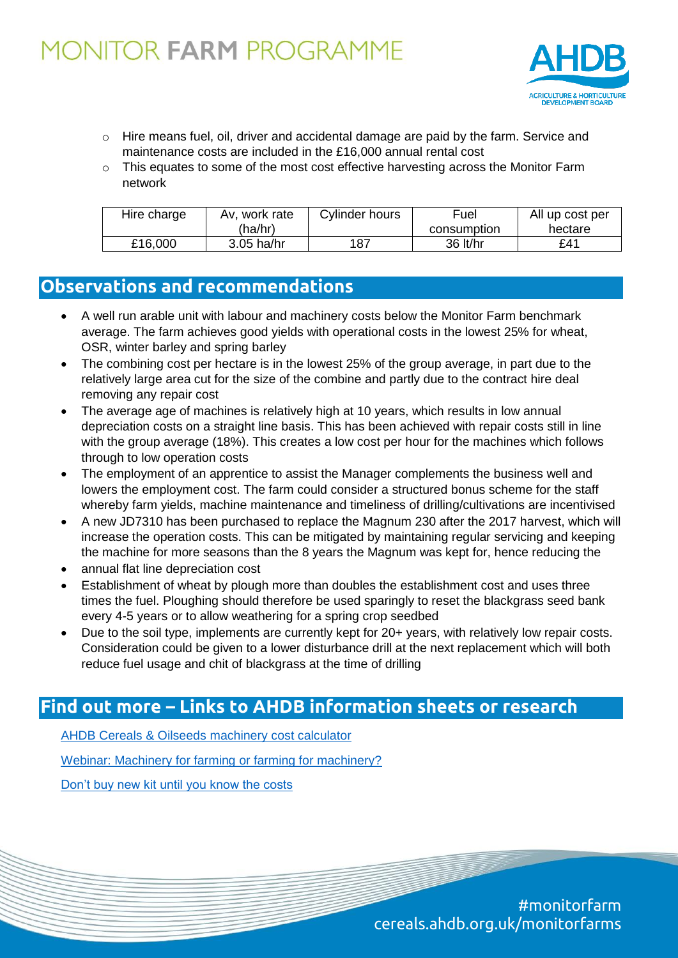

- $\circ$  Hire means fuel, oil, driver and accidental damage are paid by the farm. Service and maintenance costs are included in the £16,000 annual rental cost
- o This equates to some of the most cost effective harvesting across the Monitor Farm network

| Hire charge | Av. work rate | Cylinder hours | Fuel        | All up cost per |  |
|-------------|---------------|----------------|-------------|-----------------|--|
|             | (ha/hr)       |                | consumption | hectare         |  |
| £16,000     | 3.05 ha/hr    | 187            | 36 lt/hr    | £41             |  |

### **Observations and recommendations**

- A well run arable unit with labour and machinery costs below the Monitor Farm benchmark average. The farm achieves good yields with operational costs in the lowest 25% for wheat, OSR, winter barley and spring barley
- The combining cost per hectare is in the lowest 25% of the group average, in part due to the relatively large area cut for the size of the combine and partly due to the contract hire deal removing any repair cost
- The average age of machines is relatively high at 10 years, which results in low annual depreciation costs on a straight line basis. This has been achieved with repair costs still in line with the group average (18%). This creates a low cost per hour for the machines which follows through to low operation costs
- The employment of an apprentice to assist the Manager complements the business well and lowers the employment cost. The farm could consider a structured bonus scheme for the staff whereby farm yields, machine maintenance and timeliness of drilling/cultivations are incentivised
- A new JD7310 has been purchased to replace the Magnum 230 after the 2017 harvest, which will increase the operation costs. This can be mitigated by maintaining regular servicing and keeping the machine for more seasons than the 8 years the Magnum was kept for, hence reducing the
- annual flat line depreciation cost
- Establishment of wheat by plough more than doubles the establishment cost and uses three times the fuel. Ploughing should therefore be used sparingly to reset the blackgrass seed bank every 4-5 years or to allow weathering for a spring crop seedbed
- Due to the soil type, implements are currently kept for 20+ years, with relatively low repair costs. Consideration could be given to a lower disturbance drill at the next replacement which will both reduce fuel usage and chit of blackgrass at the time of drilling

### **Find out more – Links to AHDB information sheets or research**

[AHDB Cereals & Oilseeds machinery](https://cereals.ahdb.org.uk/tools/machinery-cost-calculator.aspx) cost calculator

[Webinar: Machinery for farming or farming for machinery?](https://cereals.ahdb.org.uk/press/2017/october/20/webinar-machinery-for-farming-or-farming-for-machinery.aspx)

[Don't buy new kit until you know the costs](https://cereals.ahdb.org.uk/press/2017/december/21/don’t-buy-new-kit-until-you-know-the-costs.aspx)